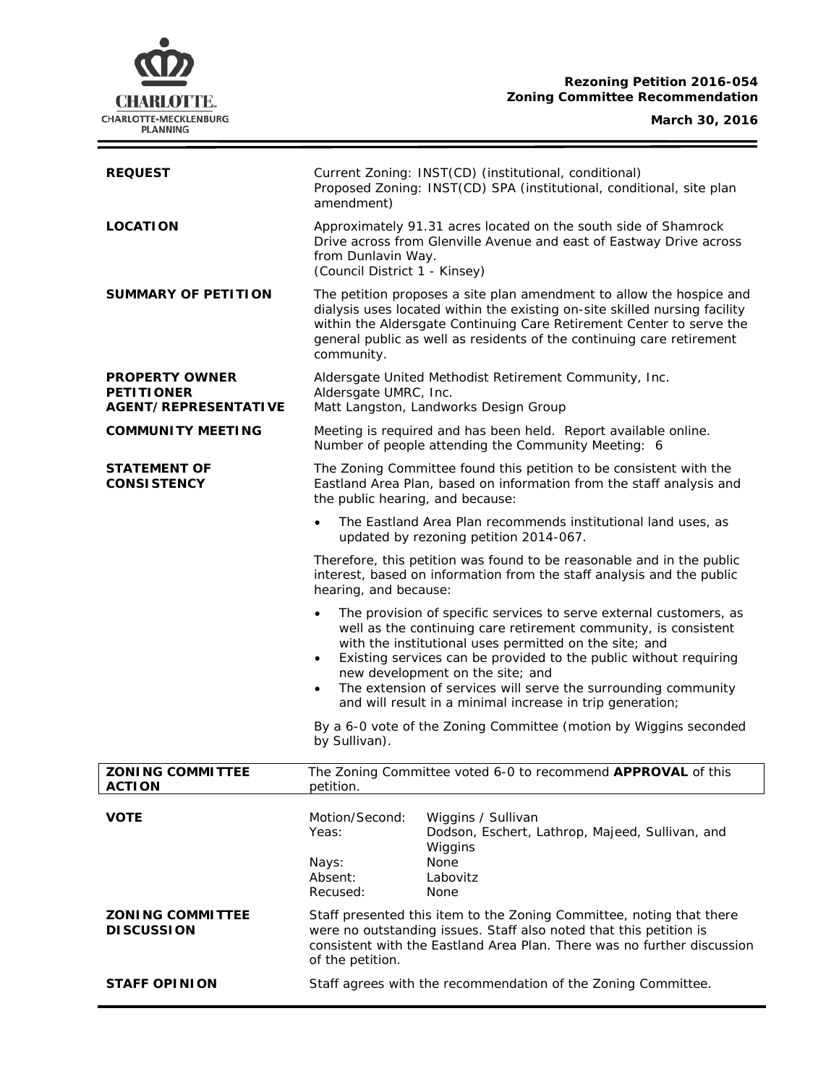## **Rezoning Petition 2016-054 Zoning Committee Recommendation**



 $\equiv$ 

| <b>REQUEST</b>                                                            | Current Zoning: INST(CD) (institutional, conditional)<br>Proposed Zoning: INST(CD) SPA (institutional, conditional, site plan<br>amendment)                                                                                                                                                                                                                                                                                                                       |
|---------------------------------------------------------------------------|-------------------------------------------------------------------------------------------------------------------------------------------------------------------------------------------------------------------------------------------------------------------------------------------------------------------------------------------------------------------------------------------------------------------------------------------------------------------|
| <b>LOCATION</b>                                                           | Approximately 91.31 acres located on the south side of Shamrock<br>Drive across from Glenville Avenue and east of Eastway Drive across<br>from Dunlavin Way.<br>(Council District 1 - Kinsey)                                                                                                                                                                                                                                                                     |
| SUMMARY OF PETITION                                                       | The petition proposes a site plan amendment to allow the hospice and<br>dialysis uses located within the existing on-site skilled nursing facility<br>within the Aldersgate Continuing Care Retirement Center to serve the<br>general public as well as residents of the continuing care retirement<br>community.                                                                                                                                                 |
| <b>PROPERTY OWNER</b><br><b>PETITIONER</b><br><b>AGENT/REPRESENTATIVE</b> | Aldersgate United Methodist Retirement Community, Inc.<br>Aldersgate UMRC, Inc.<br>Matt Langston, Landworks Design Group                                                                                                                                                                                                                                                                                                                                          |
| <b>COMMUNITY MEETING</b>                                                  | Meeting is required and has been held. Report available online.<br>Number of people attending the Community Meeting: 6                                                                                                                                                                                                                                                                                                                                            |
| <b>STATEMENT OF</b><br><b>CONSISTENCY</b>                                 | The Zoning Committee found this petition to be consistent with the<br>Eastland Area Plan, based on information from the staff analysis and<br>the public hearing, and because:                                                                                                                                                                                                                                                                                    |
|                                                                           | The Eastland Area Plan recommends institutional land uses, as<br>updated by rezoning petition 2014-067.                                                                                                                                                                                                                                                                                                                                                           |
|                                                                           | Therefore, this petition was found to be reasonable and in the public<br>interest, based on information from the staff analysis and the public<br>hearing, and because:                                                                                                                                                                                                                                                                                           |
|                                                                           | The provision of specific services to serve external customers, as<br>$\bullet$<br>well as the continuing care retirement community, is consistent<br>with the institutional uses permitted on the site; and<br>Existing services can be provided to the public without requiring<br>new development on the site; and<br>The extension of services will serve the surrounding community<br>$\bullet$<br>and will result in a minimal increase in trip generation; |
|                                                                           | By a 6-0 vote of the Zoning Committee (motion by Wiggins seconded<br>by Sullivan).                                                                                                                                                                                                                                                                                                                                                                                |
| <b>ZONING COMMITTEE</b><br><b>ACTION</b>                                  | The Zoning Committee voted 6-0 to recommend APPROVAL of this<br>petition.                                                                                                                                                                                                                                                                                                                                                                                         |
| <b>VOTE</b>                                                               | Motion/Second:<br>Wiggins / Sullivan<br>Yeas:<br>Dodson, Eschert, Lathrop, Majeed, Sullivan, and<br>Wiggins<br>None<br>Nays:                                                                                                                                                                                                                                                                                                                                      |
|                                                                           | Absent:<br>Labovitz<br>Recused:<br>None                                                                                                                                                                                                                                                                                                                                                                                                                           |
| <b>ZONING COMMITTEE</b><br><b>DISCUSSION</b>                              | Staff presented this item to the Zoning Committee, noting that there<br>were no outstanding issues. Staff also noted that this petition is<br>consistent with the <i>Eastland Area Plan</i> . There was no further discussion<br>of the petition.                                                                                                                                                                                                                 |
| <b>STAFF OPINION</b>                                                      | Staff agrees with the recommendation of the Zoning Committee.                                                                                                                                                                                                                                                                                                                                                                                                     |